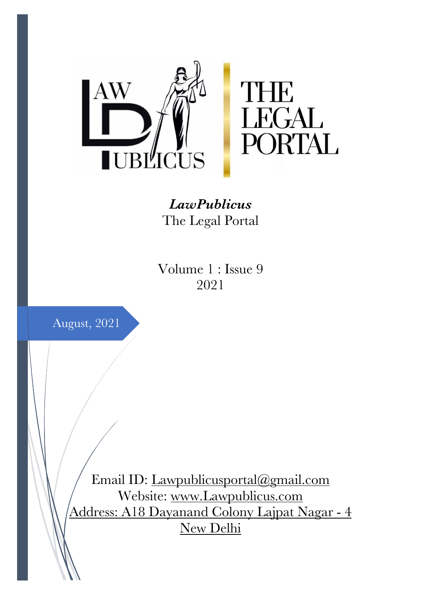

*LawPublicus* The Legal Portal

Volume 1 : Issue 9 2021



Email ID: Lawpublicusportal@gmail.com Website: www.Lawpublicus.com Address: A18 Dayanand Colony Lajpat Nagar - 4 New Delhi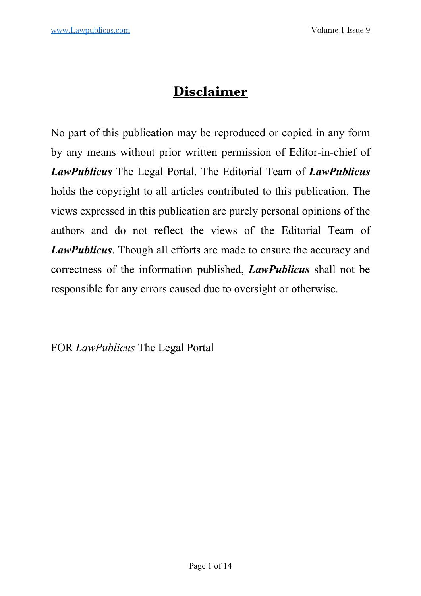# **Disclaimer**

No part of this publication may be reproduced or copied in any form by any means without prior written permission of Editor-in-chief of *LawPublicus* The Legal Portal. The Editorial Team of *LawPublicus* holds the copyright to all articles contributed to this publication. The views expressed in this publication are purely personal opinions of the authors and do not reflect the views of the Editorial Team of *LawPublicus*. Though all efforts are made to ensure the accuracy and correctness of the information published, *LawPublicus* shall not be responsible for any errors caused due to oversight or otherwise.

FOR *LawPublicus* The Legal Portal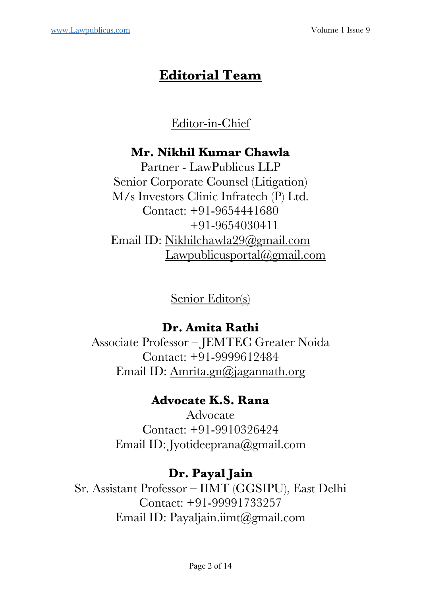# **Editorial Team**

# Editor-in-Chief

## **Mr. Nikhil Kumar Chawla**

Partner - LawPublicus LLP Senior Corporate Counsel (Litigation) M/s Investors Clinic Infratech (P) Ltd. Contact: +91-9654441680 +91-9654030411 Email ID: Nikhilchawla29@gmail.com Lawpublicusportal@gmail.com

Senior Editor(s)

## **Dr. Amita Rathi**

Associate Professor – JEMTEC Greater Noida Contact: +91-9999612484 Email ID: Amrita.gn@jagannath.org

## **Advocate K.S. Rana**

Advocate Contact: +91-9910326424 Email ID: Jyotideeprana@gmail.com

# **Dr. Payal Jain**

Sr. Assistant Professor – IIMT (GGSIPU), East Delhi Contact: +91-99991733257 Email ID: Payaljain.iimt@gmail.com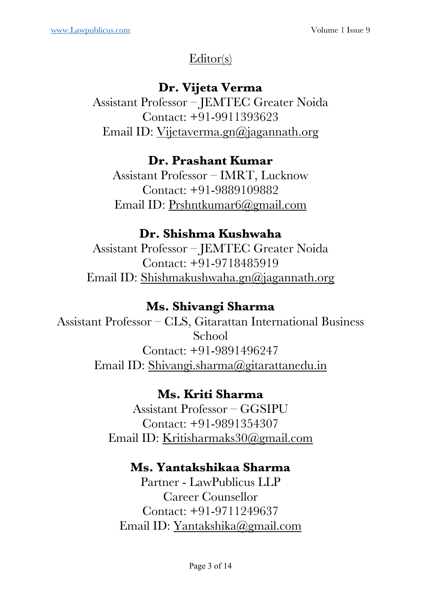# Editor(s)

# **Dr. Vijeta Verma**

Assistant Professor – JEMTEC Greater Noida Contact: +91-9911393623 Email ID: Vijetaverma.gn@jagannath.org

# **Dr. Prashant Kumar**

Assistant Professor – IMRT, Lucknow Contact: +91-9889109882 Email ID: Prshntkumar6@gmail.com

# **Dr. Shishma Kushwaha**

Assistant Professor – JEMTEC Greater Noida Contact: +91-9718485919 Email ID: Shishmakushwaha.gn@jagannath.org

# **Ms. Shivangi Sharma**

Assistant Professor – CLS, Gitarattan International Business School Contact: +91-9891496247 Email ID: Shivangi.sharma@gitarattanedu.in

# **Ms. Kriti Sharma**

Assistant Professor – GGSIPU Contact: +91-9891354307 Email ID: Kritisharmaks30@gmail.com

## **Ms. Yantakshikaa Sharma**

Partner - LawPublicus LLP Career Counsellor Contact: +91-9711249637 Email ID: Yantakshika@gmail.com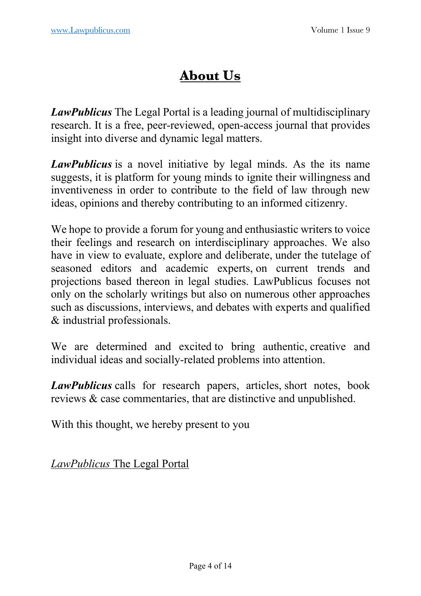# **About Us**

*LawPublicus* The Legal Portal is a leading journal of multidisciplinary research. It is a free, peer-reviewed, open-access journal that provides insight into diverse and dynamic legal matters.

*LawPublicus* is a novel initiative by legal minds. As the its name suggests, it is platform for young minds to ignite their willingness and inventiveness in order to contribute to the field of law through new ideas, opinions and thereby contributing to an informed citizenry.

We hope to provide a forum for young and enthusiastic writers to voice their feelings and research on interdisciplinary approaches. We also have in view to evaluate, explore and deliberate, under the tutelage of seasoned editors and academic experts, on current trends and projections based thereon in legal studies. LawPublicus focuses not only on the scholarly writings but also on numerous other approaches such as discussions, interviews, and debates with experts and qualified & industrial professionals.

We are determined and excited to bring authentic, creative and individual ideas and socially-related problems into attention.

*LawPublicus* calls for research papers, articles, short notes, book reviews & case commentaries, that are distinctive and unpublished.

With this thought, we hereby present to you

*LawPublicus* The Legal Portal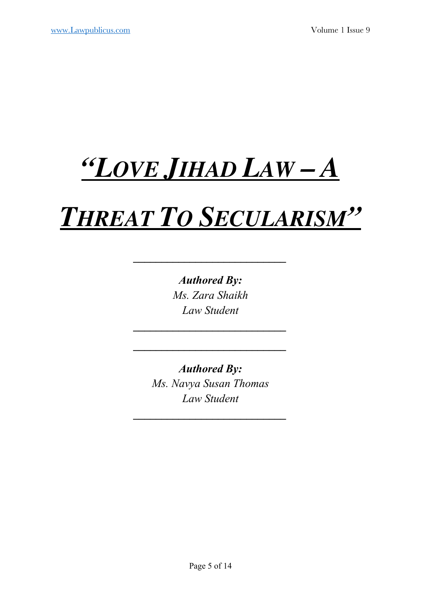# *"LOVE JIHAD LAW – A*

# *THREAT TO SECULARISM"*

*\_\_\_\_\_\_\_\_\_\_\_\_\_\_\_\_\_\_\_\_\_\_\_\_\_\_\_* 

*Authored By: Ms. Zara Shaikh Law Student*

*\_\_\_\_\_\_\_\_\_\_\_\_\_\_\_\_\_\_\_\_\_\_\_\_\_\_\_*

*\_\_\_\_\_\_\_\_\_\_\_\_\_\_\_\_\_\_\_\_\_\_\_\_\_\_\_* 

*Authored By: Ms. Navya Susan Thomas Law Student*

*\_\_\_\_\_\_\_\_\_\_\_\_\_\_\_\_\_\_\_\_\_\_\_\_\_\_\_*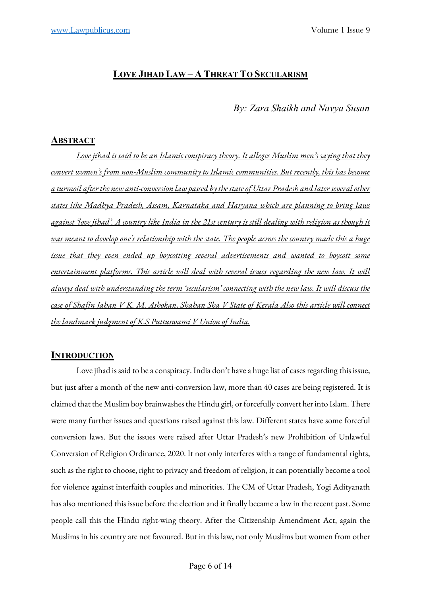## **LOVE JIHAD LAW – A THREAT TO SECULARISM**

## *By: Zara Shaikh and Navya Susan*

## **ABSTRACT**

*Love jihad is said to be an Islamic conspiracy theory. It alleges Muslim men's saying that they convert women's from non-Muslim community to Islamic communities. But recently, this has become a turmoil after the new anti-conversion law passed by the stateof Uttar Pradesh and later several other states like Madhya Pradesh, Assam, Karnataka and Haryana which are planning to bring laws against 'love jihad'. A country like India in the 21st century is still dealing with religion as though it was meant to develop one's relationship with the state. The people across the country made this a huge issue that they even ended up boycotting several advertisements and wanted to boycott some entertainment platforms. This article will deal with several issues regarding the new law. It will always deal with understanding the term 'secularism' connecting with the new law. It will discuss the case of Shafin Jahan V K. M. Ashokan, Shahan Sha V State of Kerala Also this article will connect the landmark judgment of K.S Puttuswami V Union of India.*

## **INTRODUCTION**

Love jihad is said to be a conspiracy. India don't have a huge list of cases regarding this issue, but just after a month of the new anti-conversion law, more than 40 cases are being registered. It is claimed that the Muslim boy brainwashes the Hindu girl, or forcefully convert her into Islam. There were many further issues and questions raised against this law. Different states have some forceful conversion laws. But the issues were raised after Uttar Pradesh's new Prohibition of Unlawful Conversion of Religion Ordinance, 2020. It not only interferes with a range of fundamental rights, such as the right to choose, right to privacy and freedom of religion, it can potentially become a tool for violence against interfaith couples and minorities. The CM of Uttar Pradesh, Yogi Adityanath has also mentioned this issue before the election and it finally became a law in the recent past. Some people call this the Hindu right-wing theory. After the Citizenship Amendment Act, again the Muslims in his country are not favoured. But in this law, not only Muslims but women from other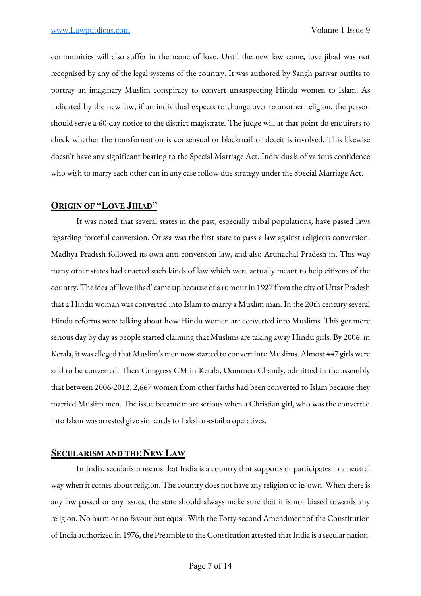communities will also suffer in the name of love. Until the new law came, love jihad was not recognised by any of the legal systems of the country. It was authored by Sangh parivar outfits to portray an imaginary Muslim conspiracy to convert unsuspecting Hindu women to Islam. As indicated by the new law, if an individual expects to change over to another religion, the person should serve a 60-day notice to the district magistrate. The judge will at that point do enquirers to check whether the transformation is consensual or blackmail or deceit is involved. This likewise doesn't have any significant bearing to the Special Marriage Act. Individuals of various confidence who wish to marry each other can in any case follow due strategy under the Special Marriage Act.

## **ORIGIN OF "LOVE JIHAD"**

It was noted that several states in the past, especially tribal populations, have passed laws regarding forceful conversion. Orissa was the first state to pass a law against religious conversion. Madhya Pradesh followed its own anti conversion law, and also Arunachal Pradesh in. This way many other states had enacted such kinds of law which were actually meant to help citizens of the country. The idea of 'love jihad' came up because of a rumour in 1927 from the city of Uttar Pradesh that a Hindu woman was converted into Islam to marry a Muslim man. In the 20th century several Hindu reforms were talking about how Hindu women are converted into Muslims. This got more serious day by day as people started claiming that Muslims are taking away Hindu girls. By 2006, in Kerala, it was alleged that Muslim's men now started to convert into Muslims. Almost 447 girls were said to be converted. Then Congress CM in Kerala, Oommen Chandy, admitted in the assembly that between 2006-2012, 2,667 women from other faiths had been converted to Islam because they married Muslim men. The issue became more serious when a Christian girl, who was the converted into Islam was arrested give sim cards to Lakshar-e-taiba operatives.

## **SECULARISM AND THE NEW LAW**

In India, secularism means that India is a country that supports or participates in a neutral way when it comes about religion. The country does not have any religion of its own. When there is any law passed or any issues, the state should always make sure that it is not biased towards any religion. No harm or no favour but equal. With the Forty-second Amendment of the Constitution of India authorized in 1976, the Preamble to the Constitution attested that India is a secular nation.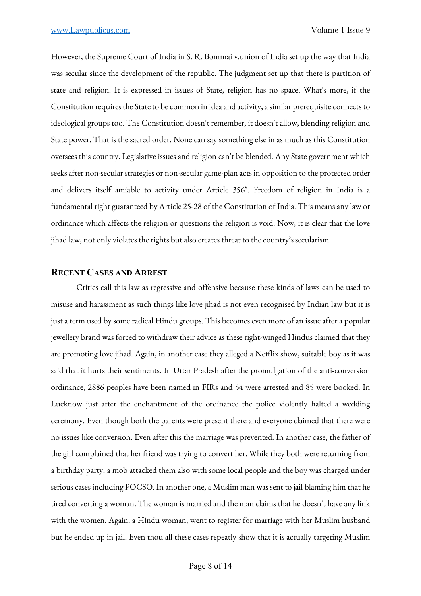However, the Supreme Court of India in S. R. Bommai v.union of India set up the way that India was secular since the development of the republic. The judgment set up that there is partition of state and religion. It is expressed in issues of State, religion has no space. What's more, if the Constitution requires the State to be common in idea and activity, a similar prerequisite connects to ideological groups too. The Constitution doesn't remember, it doesn't allow, blending religion and State power. That is the sacred order. None can say something else in as much as this Constitution oversees this country. Legislative issues and religion can't be blended. Any State government which seeks after non-secular strategies or non-secular game-plan acts in opposition to the protected order and delivers itself amiable to activity under Article 356". Freedom of religion in India is a fundamental right guaranteed by Article 25-28 of the Constitution of India. This means any law or ordinance which affects the religion or questions the religion is void. Now, it is clear that the love jihad law, not only violates the rights but also creates threat to the country's secularism.

### **RECENT CASES AND ARREST**

Critics call this law as regressive and offensive because these kinds of laws can be used to misuse and harassment as such things like love jihad is not even recognised by Indian law but it is just a term used by some radical Hindu groups. This becomes even more of an issue after a popular jewellery brand was forced to withdraw their advice as these right-winged Hindus claimed that they are promoting love jihad. Again, in another case they alleged a Netflix show, suitable boy as it was said that it hurts their sentiments. In Uttar Pradesh after the promulgation of the anti-conversion ordinance, 2886 peoples have been named in FIRs and 54 were arrested and 85 were booked. In Lucknow just after the enchantment of the ordinance the police violently halted a wedding ceremony. Even though both the parents were present there and everyone claimed that there were no issues like conversion. Even after this the marriage was prevented. In another case, the father of the girl complained that her friend was trying to convert her. While they both were returning from a birthday party, a mob attacked them also with some local people and the boy was charged under serious cases including POCSO. In another one, a Muslim man was sent to jail blaming him that he tired converting a woman. The woman is married and the man claims that he doesn't have any link with the women. Again, a Hindu woman, went to register for marriage with her Muslim husband but he ended up in jail. Even thou all these cases repeatly show that it is actually targeting Muslim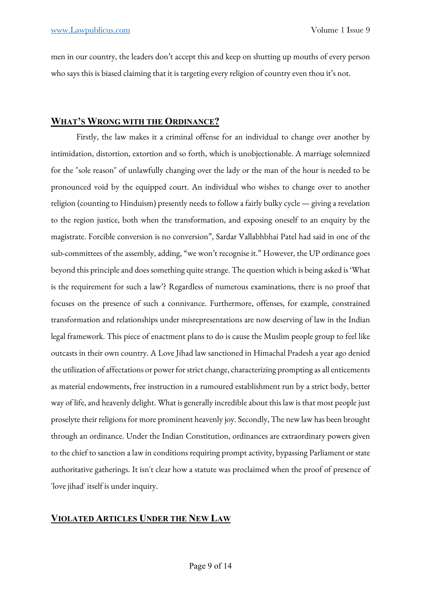men in our country, the leaders don't accept this and keep on shutting up mouths of every person who says this is biased claiming that it is targeting every religion of country even thou it's not.

## **WHAT'S WRONG WITH THE ORDINANCE?**

Firstly, the law makes it a criminal offense for an individual to change over another by intimidation, distortion, extortion and so forth, which is unobjectionable. A marriage solemnized for the "sole reason" of unlawfully changing over the lady or the man of the hour is needed to be pronounced void by the equipped court. An individual who wishes to change over to another religion (counting to Hinduism) presently needs to follow a fairly bulky cycle — giving a revelation to the region justice, both when the transformation, and exposing oneself to an enquiry by the magistrate. Forcible conversion is no conversion", Sardar Vallabhbhai Patel had said in one of the sub-committees of the assembly, adding, "we won't recognise it." However, the UP ordinance goes beyond this principle and does something quite strange. The question which is being asked is 'What is the requirement for such a law'? Regardless of numerous examinations, there is no proof that focuses on the presence of such a connivance. Furthermore, offenses, for example, constrained transformation and relationships under misrepresentations are now deserving of law in the Indian legal framework. This piece of enactment plans to do is cause the Muslim people group to feel like outcasts in their own country. A Love Jihad law sanctioned in Himachal Pradesh a year ago denied the utilization of affectations or power for strict change, characterizing prompting as all enticements as material endowments, free instruction in a rumoured establishment run by a strict body, better way of life, and heavenly delight. What is generally incredible about this law is that most people just proselyte their religions for more prominent heavenly joy. Secondly, The new law has been brought through an ordinance. Under the Indian Constitution, ordinances are extraordinary powers given to the chief to sanction a law in conditions requiring prompt activity, bypassing Parliament or state authoritative gatherings. It isn't clear how a statute was proclaimed when the proof of presence of 'love jihad' itself is under inquiry.

## **VIOLATED ARTICLES UNDER THE NEW LAW**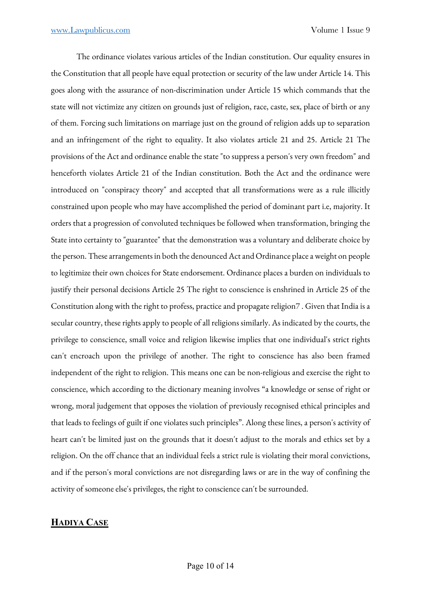The ordinance violates various articles of the Indian constitution. Our equality ensures in the Constitution that all people have equal protection or security of the law under Article 14. This goes along with the assurance of non-discrimination under Article 15 which commands that the state will not victimize any citizen on grounds just of religion, race, caste, sex, place of birth or any of them. Forcing such limitations on marriage just on the ground of religion adds up to separation and an infringement of the right to equality. It also violates article 21 and 25. Article 21 The provisions of the Act and ordinance enable the state "to suppress a person's very own freedom" and henceforth violates Article 21 of the Indian constitution. Both the Act and the ordinance were introduced on "conspiracy theory" and accepted that all transformations were as a rule illicitly constrained upon people who may have accomplished the period of dominant part i.e, majority. It orders that a progression of convoluted techniques be followed when transformation, bringing the State into certainty to "guarantee" that the demonstration was a voluntary and deliberate choice by the person. These arrangements in both the denounced Act and Ordinance place a weight on people to legitimize their own choices for State endorsement. Ordinance places a burden on individuals to justify their personal decisions Article 25 The right to conscience is enshrined in Article 25 of the Constitution along with the right to profess, practice and propagate religion7 . Given that India is a secular country, these rights apply to people of all religions similarly. As indicated by the courts, the privilege to conscience, small voice and religion likewise implies that one individual's strict rights can't encroach upon the privilege of another. The right to conscience has also been framed independent of the right to religion. This means one can be non-religious and exercise the right to conscience, which according to the dictionary meaning involves "a knowledge or sense of right or wrong, moral judgement that opposes the violation of previously recognised ethical principles and that leads to feelings of guilt if one violates such principles". Along these lines, a person's activity of heart can't be limited just on the grounds that it doesn't adjust to the morals and ethics set by a religion. On the off chance that an individual feels a strict rule is violating their moral convictions, and if the person's moral convictions are not disregarding laws or are in the way of confining the activity of someone else's privileges, the right to conscience can't be surrounded.

## **HADIYA CASE**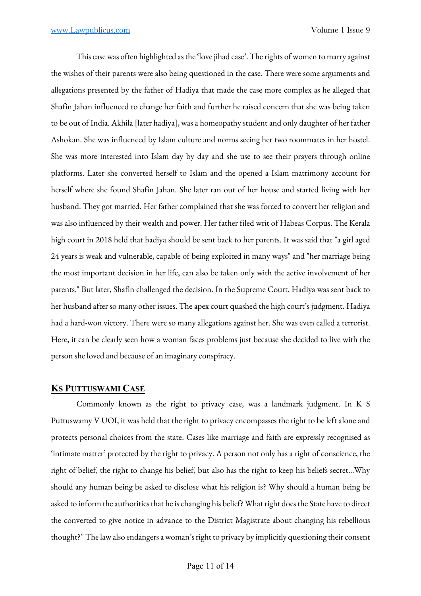This case was often highlighted as the 'love jihad case'. The rights of women to marry against the wishes of their parents were also being questioned in the case. There were some arguments and allegations presented by the father of Hadiya that made the case more complex as he alleged that Shafin Jahan influenced to change her faith and further he raised concern that she was being taken to be out of India. Akhila [later hadiya], was a homeopathy student and only daughter of her father Ashokan. She was influenced by Islam culture and norms seeing her two roommates in her hostel. She was more interested into Islam day by day and she use to see their prayers through online platforms. Later she converted herself to Islam and the opened a Islam matrimony account for herself where she found Shafin Jahan. She later ran out of her house and started living with her husband. They got married. Her father complained that she was forced to convert her religion and was also influenced by their wealth and power. Her father filed writ of Habeas Corpus. The Kerala high court in 2018 held that hadiya should be sent back to her parents. It was said that "a girl aged 24 years is weak and vulnerable, capable of being exploited in many ways" and "her marriage being the most important decision in her life, can also be taken only with the active involvement of her parents." But later, Shafin challenged the decision. In the Supreme Court, Hadiya was sent back to her husband after so many other issues. The apex court quashed the high court's judgment. Hadiya had a hard-won victory. There were so many allegations against her. She was even called a terrorist. Here, it can be clearly seen how a woman faces problems just because she decided to live with the person she loved and because of an imaginary conspiracy.

## **KS PUTTUSWAMI CASE**

Commonly known as the right to privacy case, was a landmark judgment. In K S Puttuswamy V UOI, it was held that the right to privacy encompasses the right to be left alone and protects personal choices from the state. Cases like marriage and faith are expressly recognised as 'intimate matter' protected by the right to privacy. A person not only has a right of conscience, the right of belief, the right to change his belief, but also has the right to keep his beliefs secret...Why should any human being be asked to disclose what his religion is? Why should a human being be asked to inform the authorities that he is changing his belief? What right does the State have to direct the converted to give notice in advance to the District Magistrate about changing his rebellious thought?'' The law also endangers a woman's right to privacy by implicitly questioning their consent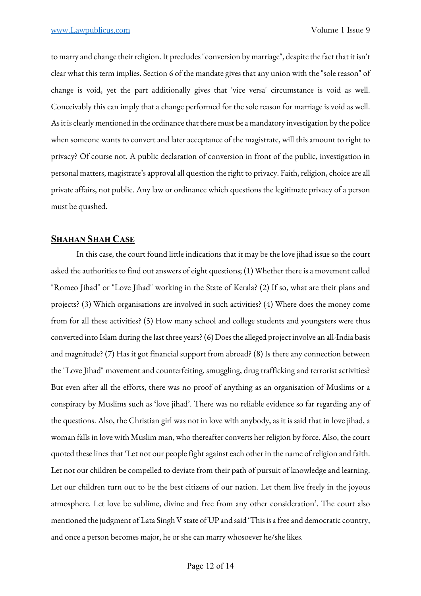to marry and change their religion. It precludes "conversion by marriage", despite the fact that it isn't clear what this term implies. Section 6 of the mandate gives that any union with the "sole reason" of change is void, yet the part additionally gives that 'vice versa' circumstance is void as well. Conceivably this can imply that a change performed for the sole reason for marriage is void as well. As it is clearly mentioned in the ordinance that there must be a mandatory investigation by the police when someone wants to convert and later acceptance of the magistrate, will this amount to right to privacy? Of course not. A public declaration of conversion in front of the public, investigation in personal matters, magistrate's approval all question the right to privacy. Faith, religion, choice are all private affairs, not public. Any law or ordinance which questions the legitimate privacy of a person must be quashed.

## **SHAHAN SHAH CASE**

In this case, the court found little indications that it may be the love jihad issue so the court asked the authorities to find out answers of eight questions; (1) Whether there is a movement called "Romeo Jihad" or "Love Jihad" working in the State of Kerala? (2) If so, what are their plans and projects? (3) Which organisations are involved in such activities? (4) Where does the money come from for all these activities? (5) How many school and college students and youngsters were thus converted into Islam during the last three years? (6) Does the alleged project involve an all-India basis and magnitude? (7) Has it got financial support from abroad? (8) Is there any connection between the "Love Jihad" movement and counterfeiting, smuggling, drug trafficking and terrorist activities? But even after all the efforts, there was no proof of anything as an organisation of Muslims or a conspiracy by Muslims such as 'love jihad'. There was no reliable evidence so far regarding any of the questions. Also, the Christian girl was not in love with anybody, as it is said that in love jihad, a woman falls in love with Muslim man, who thereafter converts her religion by force. Also, the court quoted these lines that 'Let not our people fight against each other in the name of religion and faith. Let not our children be compelled to deviate from their path of pursuit of knowledge and learning. Let our children turn out to be the best citizens of our nation. Let them live freely in the joyous atmosphere. Let love be sublime, divine and free from any other consideration'. The court also mentioned the judgment of Lata Singh V state of UP and said 'This is a free and democratic country, and once a person becomes major, he or she can marry whosoever he/she likes.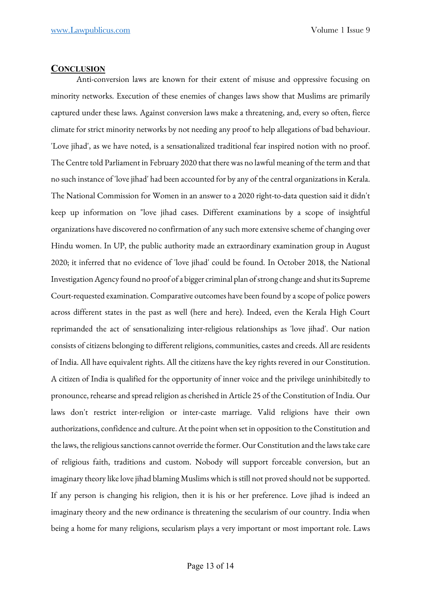### **CONCLUSION**

Anti-conversion laws are known for their extent of misuse and oppressive focusing on minority networks. Execution of these enemies of changes laws show that Muslims are primarily captured under these laws. Against conversion laws make a threatening, and, every so often, fierce climate for strict minority networks by not needing any proof to help allegations of bad behaviour. 'Love jihad', as we have noted, is a sensationalized traditional fear inspired notion with no proof. The Centre told Parliament in February 2020 that there was no lawful meaning of the term and that no such instance of 'love jihad' had been accounted for by any of the central organizations in Kerala. The National Commission for Women in an answer to a 2020 right-to-data question said it didn't keep up information on "love jihad cases. Different examinations by a scope of insightful organizations have discovered no confirmation of any such more extensive scheme of changing over Hindu women. In UP, the public authority made an extraordinary examination group in August 2020; it inferred that no evidence of 'love jihad' could be found. In October 2018, the National Investigation Agency found no proof of a bigger criminal plan of strong change and shut its Supreme Court-requested examination. Comparative outcomes have been found by a scope of police powers across different states in the past as well (here and here). Indeed, even the Kerala High Court reprimanded the act of sensationalizing inter-religious relationships as 'love jihad'. Our nation consists of citizens belonging to different religions, communities, castes and creeds. All are residents of India. All have equivalent rights. All the citizens have the key rights revered in our Constitution. A citizen of India is qualified for the opportunity of inner voice and the privilege uninhibitedly to pronounce, rehearse and spread religion as cherished in Article 25 of the Constitution of India. Our laws don't restrict inter-religion or inter-caste marriage. Valid religions have their own authorizations, confidence and culture. At the point when set in opposition to the Constitution and the laws, the religious sanctions cannot override the former. Our Constitution and the laws take care of religious faith, traditions and custom. Nobody will support forceable conversion, but an imaginary theory like love jihad blaming Muslims which is still not proved should not be supported. If any person is changing his religion, then it is his or her preference. Love jihad is indeed an imaginary theory and the new ordinance is threatening the secularism of our country. India when being a home for many religions, secularism plays a very important or most important role. Laws